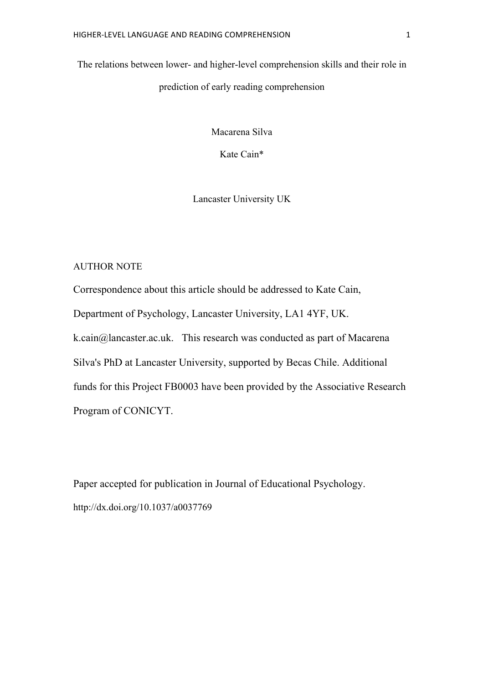The relations between lower- and higher-level comprehension skills and their role in prediction of early reading comprehension

Macarena Silva

Kate Cain\*

Lancaster University UK

## AUTHOR NOTE

Correspondence about this article should be addressed to Kate Cain, Department of Psychology, Lancaster University, LA1 4YF, UK. k.cain@lancaster.ac.uk. This research was conducted as part of Macarena Silva's PhD at Lancaster University, supported by Becas Chile. Additional funds for this Project FB0003 have been provided by the Associative Research Program of CONICYT.

Paper accepted for publication in Journal of Educational Psychology. http://dx.doi.org/10.1037/a0037769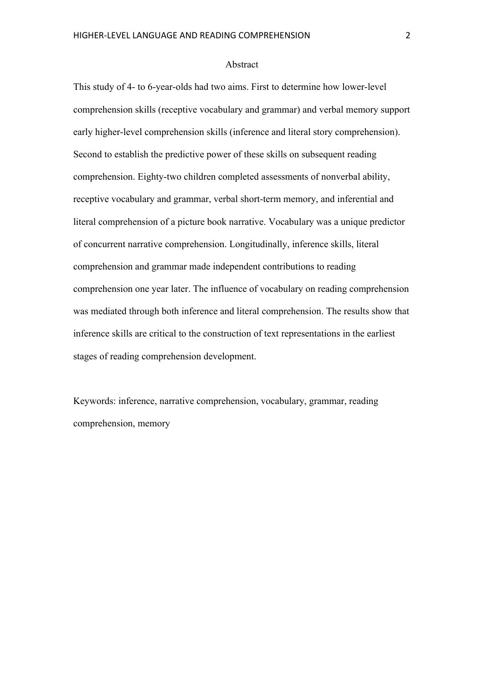#### Abstract

This study of 4- to 6-year-olds had two aims. First to determine how lower-level comprehension skills (receptive vocabulary and grammar) and verbal memory support early higher-level comprehension skills (inference and literal story comprehension). Second to establish the predictive power of these skills on subsequent reading comprehension. Eighty-two children completed assessments of nonverbal ability, receptive vocabulary and grammar, verbal short-term memory, and inferential and literal comprehension of a picture book narrative. Vocabulary was a unique predictor of concurrent narrative comprehension. Longitudinally, inference skills, literal comprehension and grammar made independent contributions to reading comprehension one year later. The influence of vocabulary on reading comprehension was mediated through both inference and literal comprehension. The results show that inference skills are critical to the construction of text representations in the earliest stages of reading comprehension development.

Keywords: inference, narrative comprehension, vocabulary, grammar, reading comprehension, memory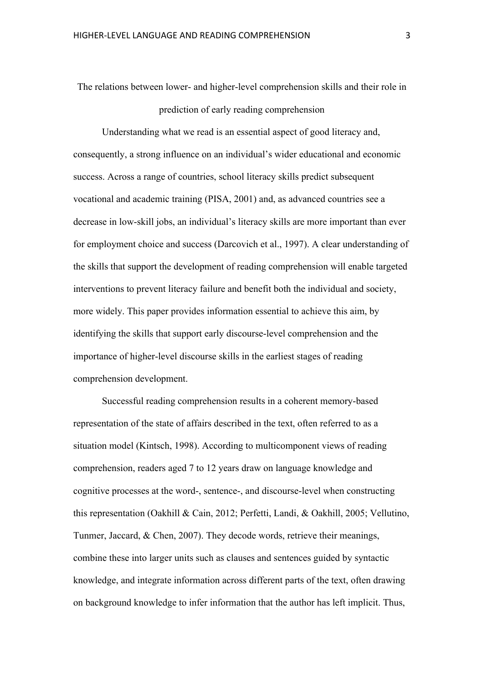The relations between lower- and higher-level comprehension skills and their role in prediction of early reading comprehension

Understanding what we read is an essential aspect of good literacy and, consequently, a strong influence on an individual's wider educational and economic success. Across a range of countries, school literacy skills predict subsequent vocational and academic training (PISA, 2001) and, as advanced countries see a decrease in low-skill jobs, an individual's literacy skills are more important than ever for employment choice and success (Darcovich et al., 1997). A clear understanding of the skills that support the development of reading comprehension will enable targeted interventions to prevent literacy failure and benefit both the individual and society, more widely. This paper provides information essential to achieve this aim, by identifying the skills that support early discourse-level comprehension and the importance of higher-level discourse skills in the earliest stages of reading comprehension development.

Successful reading comprehension results in a coherent memory-based representation of the state of affairs described in the text, often referred to as a situation model (Kintsch, 1998). According to multicomponent views of reading comprehension, readers aged 7 to 12 years draw on language knowledge and cognitive processes at the word-, sentence-, and discourse-level when constructing this representation (Oakhill & Cain, 2012; Perfetti, Landi, & Oakhill, 2005; Vellutino, Tunmer, Jaccard, & Chen, 2007). They decode words, retrieve their meanings, combine these into larger units such as clauses and sentences guided by syntactic knowledge, and integrate information across different parts of the text, often drawing on background knowledge to infer information that the author has left implicit. Thus,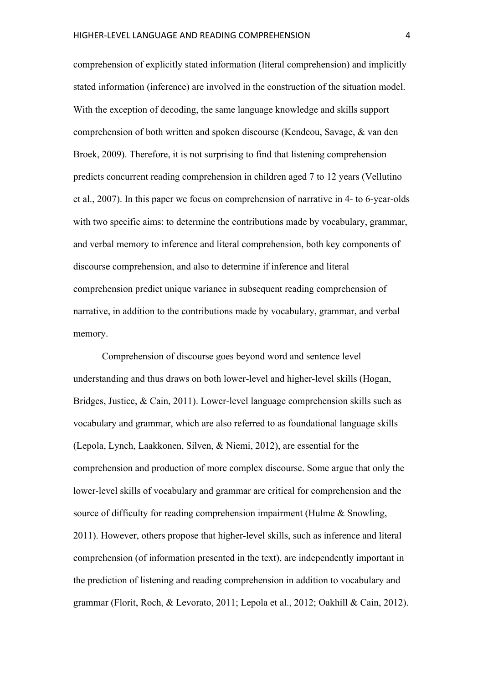comprehension of explicitly stated information (literal comprehension) and implicitly stated information (inference) are involved in the construction of the situation model. With the exception of decoding, the same language knowledge and skills support comprehension of both written and spoken discourse (Kendeou, Savage, & van den Broek, 2009). Therefore, it is not surprising to find that listening comprehension predicts concurrent reading comprehension in children aged 7 to 12 years (Vellutino et al., 2007). In this paper we focus on comprehension of narrative in 4- to 6-year-olds with two specific aims: to determine the contributions made by vocabulary, grammar, and verbal memory to inference and literal comprehension, both key components of discourse comprehension, and also to determine if inference and literal comprehension predict unique variance in subsequent reading comprehension of narrative, in addition to the contributions made by vocabulary, grammar, and verbal memory.

Comprehension of discourse goes beyond word and sentence level understanding and thus draws on both lower-level and higher-level skills (Hogan, Bridges, Justice, & Cain, 2011). Lower-level language comprehension skills such as vocabulary and grammar, which are also referred to as foundational language skills (Lepola, Lynch, Laakkonen, Silven, & Niemi, 2012), are essential for the comprehension and production of more complex discourse. Some argue that only the lower-level skills of vocabulary and grammar are critical for comprehension and the source of difficulty for reading comprehension impairment (Hulme & Snowling, 2011). However, others propose that higher-level skills, such as inference and literal comprehension (of information presented in the text), are independently important in the prediction of listening and reading comprehension in addition to vocabulary and grammar (Florit, Roch, & Levorato, 2011; Lepola et al., 2012; Oakhill & Cain, 2012).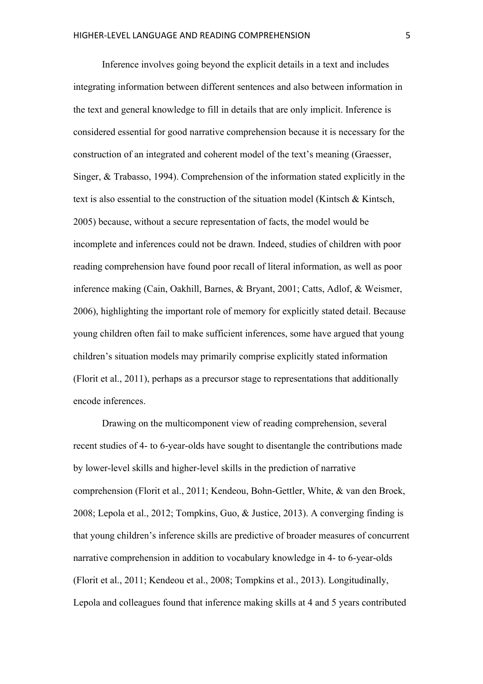Inference involves going beyond the explicit details in a text and includes integrating information between different sentences and also between information in the text and general knowledge to fill in details that are only implicit. Inference is considered essential for good narrative comprehension because it is necessary for the construction of an integrated and coherent model of the text's meaning (Graesser, Singer, & Trabasso, 1994). Comprehension of the information stated explicitly in the text is also essential to the construction of the situation model (Kintsch & Kintsch, 2005) because, without a secure representation of facts, the model would be incomplete and inferences could not be drawn. Indeed, studies of children with poor reading comprehension have found poor recall of literal information, as well as poor inference making (Cain, Oakhill, Barnes, & Bryant, 2001; Catts, Adlof, & Weismer, 2006), highlighting the important role of memory for explicitly stated detail. Because young children often fail to make sufficient inferences, some have argued that young children's situation models may primarily comprise explicitly stated information (Florit et al., 2011), perhaps as a precursor stage to representations that additionally encode inferences.

Drawing on the multicomponent view of reading comprehension, several recent studies of 4- to 6-year-olds have sought to disentangle the contributions made by lower-level skills and higher-level skills in the prediction of narrative comprehension (Florit et al., 2011; Kendeou, Bohn-Gettler, White, & van den Broek, 2008; Lepola et al., 2012; Tompkins, Guo, & Justice, 2013). A converging finding is that young children's inference skills are predictive of broader measures of concurrent narrative comprehension in addition to vocabulary knowledge in 4- to 6-year-olds (Florit et al., 2011; Kendeou et al., 2008; Tompkins et al., 2013). Longitudinally, Lepola and colleagues found that inference making skills at 4 and 5 years contributed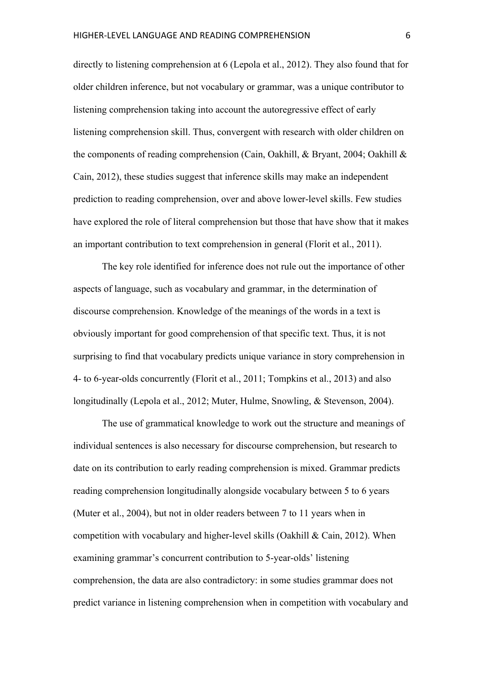directly to listening comprehension at 6 (Lepola et al., 2012). They also found that for older children inference, but not vocabulary or grammar, was a unique contributor to listening comprehension taking into account the autoregressive effect of early listening comprehension skill. Thus, convergent with research with older children on the components of reading comprehension (Cain, Oakhill, & Bryant, 2004; Oakhill & Cain, 2012), these studies suggest that inference skills may make an independent prediction to reading comprehension, over and above lower-level skills. Few studies have explored the role of literal comprehension but those that have show that it makes an important contribution to text comprehension in general (Florit et al., 2011).

The key role identified for inference does not rule out the importance of other aspects of language, such as vocabulary and grammar, in the determination of discourse comprehension. Knowledge of the meanings of the words in a text is obviously important for good comprehension of that specific text. Thus, it is not surprising to find that vocabulary predicts unique variance in story comprehension in 4- to 6-year-olds concurrently (Florit et al., 2011; Tompkins et al., 2013) and also longitudinally (Lepola et al., 2012; Muter, Hulme, Snowling, & Stevenson, 2004).

The use of grammatical knowledge to work out the structure and meanings of individual sentences is also necessary for discourse comprehension, but research to date on its contribution to early reading comprehension is mixed. Grammar predicts reading comprehension longitudinally alongside vocabulary between 5 to 6 years (Muter et al., 2004), but not in older readers between 7 to 11 years when in competition with vocabulary and higher-level skills (Oakhill & Cain, 2012). When examining grammar's concurrent contribution to 5-year-olds' listening comprehension, the data are also contradictory: in some studies grammar does not predict variance in listening comprehension when in competition with vocabulary and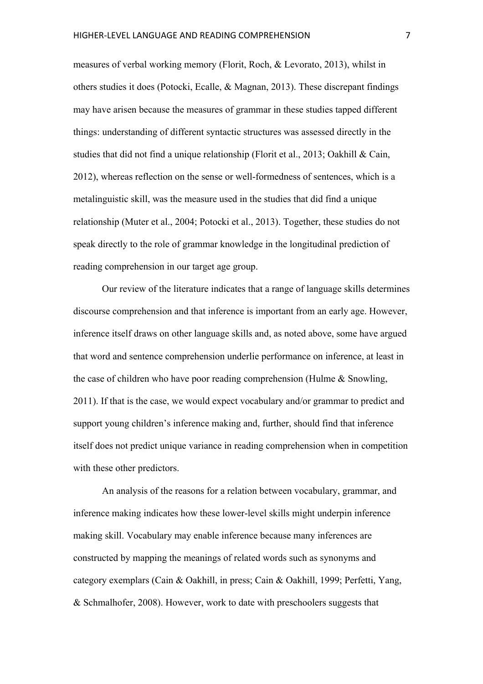measures of verbal working memory (Florit, Roch, & Levorato, 2013), whilst in others studies it does (Potocki, Ecalle, & Magnan, 2013). These discrepant findings may have arisen because the measures of grammar in these studies tapped different things: understanding of different syntactic structures was assessed directly in the studies that did not find a unique relationship (Florit et al., 2013; Oakhill & Cain, 2012), whereas reflection on the sense or well-formedness of sentences, which is a metalinguistic skill, was the measure used in the studies that did find a unique relationship (Muter et al., 2004; Potocki et al., 2013). Together, these studies do not speak directly to the role of grammar knowledge in the longitudinal prediction of reading comprehension in our target age group.

Our review of the literature indicates that a range of language skills determines discourse comprehension and that inference is important from an early age. However, inference itself draws on other language skills and, as noted above, some have argued that word and sentence comprehension underlie performance on inference, at least in the case of children who have poor reading comprehension (Hulme  $\&$  Snowling, 2011). If that is the case, we would expect vocabulary and/or grammar to predict and support young children's inference making and, further, should find that inference itself does not predict unique variance in reading comprehension when in competition with these other predictors.

An analysis of the reasons for a relation between vocabulary, grammar, and inference making indicates how these lower-level skills might underpin inference making skill. Vocabulary may enable inference because many inferences are constructed by mapping the meanings of related words such as synonyms and category exemplars (Cain & Oakhill, in press; Cain & Oakhill, 1999; Perfetti, Yang, & Schmalhofer, 2008). However, work to date with preschoolers suggests that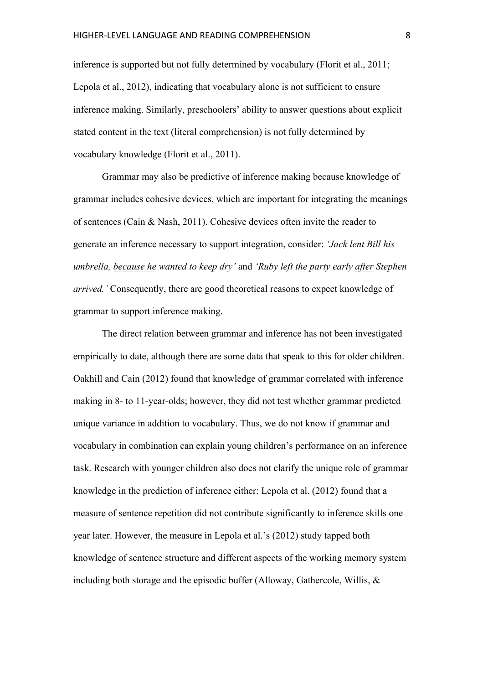inference is supported but not fully determined by vocabulary (Florit et al., 2011; Lepola et al., 2012), indicating that vocabulary alone is not sufficient to ensure inference making. Similarly, preschoolers' ability to answer questions about explicit stated content in the text (literal comprehension) is not fully determined by vocabulary knowledge (Florit et al., 2011).

Grammar may also be predictive of inference making because knowledge of grammar includes cohesive devices, which are important for integrating the meanings of sentences (Cain & Nash, 2011). Cohesive devices often invite the reader to generate an inference necessary to support integration, consider: *'Jack lent Bill his umbrella, because he wanted to keep dry'* and *'Ruby left the party early after Stephen arrived.'* Consequently, there are good theoretical reasons to expect knowledge of grammar to support inference making.

The direct relation between grammar and inference has not been investigated empirically to date, although there are some data that speak to this for older children. Oakhill and Cain (2012) found that knowledge of grammar correlated with inference making in 8- to 11-year-olds; however, they did not test whether grammar predicted unique variance in addition to vocabulary. Thus, we do not know if grammar and vocabulary in combination can explain young children's performance on an inference task. Research with younger children also does not clarify the unique role of grammar knowledge in the prediction of inference either: Lepola et al. (2012) found that a measure of sentence repetition did not contribute significantly to inference skills one year later. However, the measure in Lepola et al.'s (2012) study tapped both knowledge of sentence structure and different aspects of the working memory system including both storage and the episodic buffer (Alloway, Gathercole, Willis, &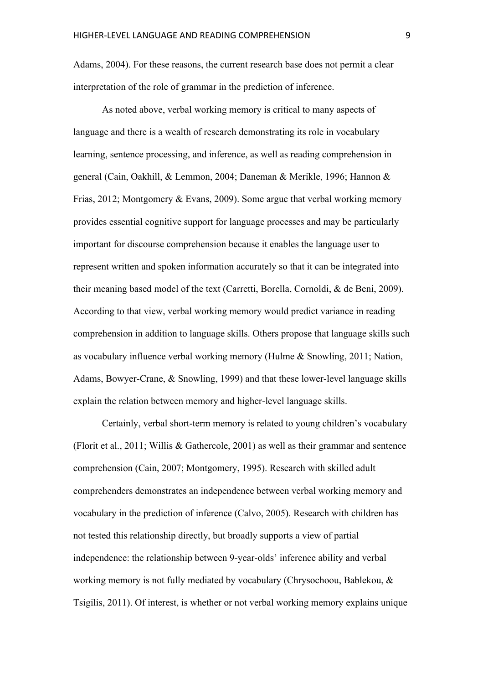Adams, 2004). For these reasons, the current research base does not permit a clear interpretation of the role of grammar in the prediction of inference.

As noted above, verbal working memory is critical to many aspects of language and there is a wealth of research demonstrating its role in vocabulary learning, sentence processing, and inference, as well as reading comprehension in general (Cain, Oakhill, & Lemmon, 2004; Daneman & Merikle, 1996; Hannon & Frias, 2012; Montgomery & Evans, 2009). Some argue that verbal working memory provides essential cognitive support for language processes and may be particularly important for discourse comprehension because it enables the language user to represent written and spoken information accurately so that it can be integrated into their meaning based model of the text (Carretti, Borella, Cornoldi, & de Beni, 2009). According to that view, verbal working memory would predict variance in reading comprehension in addition to language skills. Others propose that language skills such as vocabulary influence verbal working memory (Hulme & Snowling, 2011; Nation, Adams, Bowyer-Crane, & Snowling, 1999) and that these lower-level language skills explain the relation between memory and higher-level language skills.

Certainly, verbal short-term memory is related to young children's vocabulary (Florit et al., 2011; Willis & Gathercole, 2001) as well as their grammar and sentence comprehension (Cain, 2007; Montgomery, 1995). Research with skilled adult comprehenders demonstrates an independence between verbal working memory and vocabulary in the prediction of inference (Calvo, 2005). Research with children has not tested this relationship directly, but broadly supports a view of partial independence: the relationship between 9-year-olds' inference ability and verbal working memory is not fully mediated by vocabulary (Chrysochoou, Bablekou, & Tsigilis, 2011). Of interest, is whether or not verbal working memory explains unique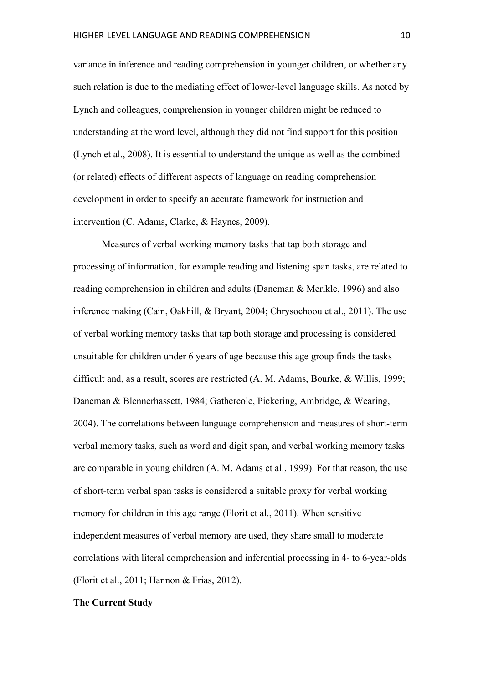variance in inference and reading comprehension in younger children, or whether any such relation is due to the mediating effect of lower-level language skills. As noted by Lynch and colleagues, comprehension in younger children might be reduced to understanding at the word level, although they did not find support for this position (Lynch et al., 2008). It is essential to understand the unique as well as the combined (or related) effects of different aspects of language on reading comprehension development in order to specify an accurate framework for instruction and intervention (C. Adams, Clarke, & Haynes, 2009).

Measures of verbal working memory tasks that tap both storage and processing of information, for example reading and listening span tasks, are related to reading comprehension in children and adults (Daneman & Merikle, 1996) and also inference making (Cain, Oakhill, & Bryant, 2004; Chrysochoou et al., 2011). The use of verbal working memory tasks that tap both storage and processing is considered unsuitable for children under 6 years of age because this age group finds the tasks difficult and, as a result, scores are restricted (A. M. Adams, Bourke, & Willis, 1999; Daneman & Blennerhassett, 1984; Gathercole, Pickering, Ambridge, & Wearing, 2004). The correlations between language comprehension and measures of short-term verbal memory tasks, such as word and digit span, and verbal working memory tasks are comparable in young children (A. M. Adams et al., 1999). For that reason, the use of short-term verbal span tasks is considered a suitable proxy for verbal working memory for children in this age range (Florit et al., 2011). When sensitive independent measures of verbal memory are used, they share small to moderate correlations with literal comprehension and inferential processing in 4- to 6-year-olds (Florit et al., 2011; Hannon & Frias, 2012).

## **The Current Study**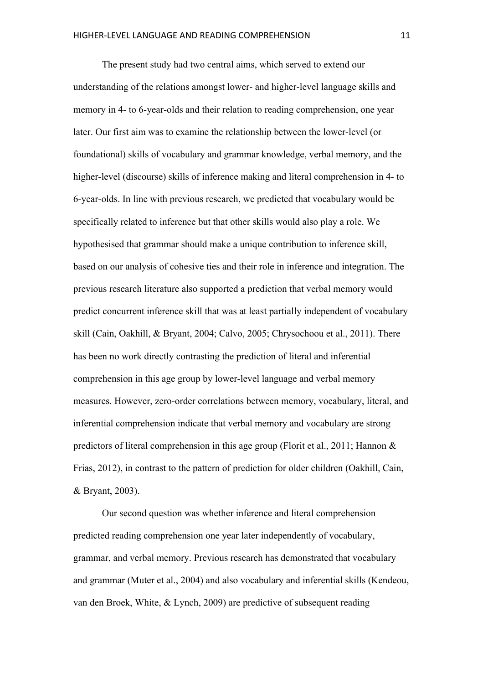The present study had two central aims, which served to extend our understanding of the relations amongst lower- and higher-level language skills and memory in 4- to 6-year-olds and their relation to reading comprehension, one year later. Our first aim was to examine the relationship between the lower-level (or foundational) skills of vocabulary and grammar knowledge, verbal memory, and the higher-level (discourse) skills of inference making and literal comprehension in 4- to 6-year-olds. In line with previous research, we predicted that vocabulary would be specifically related to inference but that other skills would also play a role. We hypothesised that grammar should make a unique contribution to inference skill, based on our analysis of cohesive ties and their role in inference and integration. The previous research literature also supported a prediction that verbal memory would predict concurrent inference skill that was at least partially independent of vocabulary skill (Cain, Oakhill, & Bryant, 2004; Calvo, 2005; Chrysochoou et al., 2011). There has been no work directly contrasting the prediction of literal and inferential comprehension in this age group by lower-level language and verbal memory measures. However, zero-order correlations between memory, vocabulary, literal, and inferential comprehension indicate that verbal memory and vocabulary are strong predictors of literal comprehension in this age group (Florit et al., 2011; Hannon & Frias, 2012), in contrast to the pattern of prediction for older children (Oakhill, Cain, & Bryant, 2003).

Our second question was whether inference and literal comprehension predicted reading comprehension one year later independently of vocabulary, grammar, and verbal memory. Previous research has demonstrated that vocabulary and grammar (Muter et al., 2004) and also vocabulary and inferential skills (Kendeou, van den Broek, White, & Lynch, 2009) are predictive of subsequent reading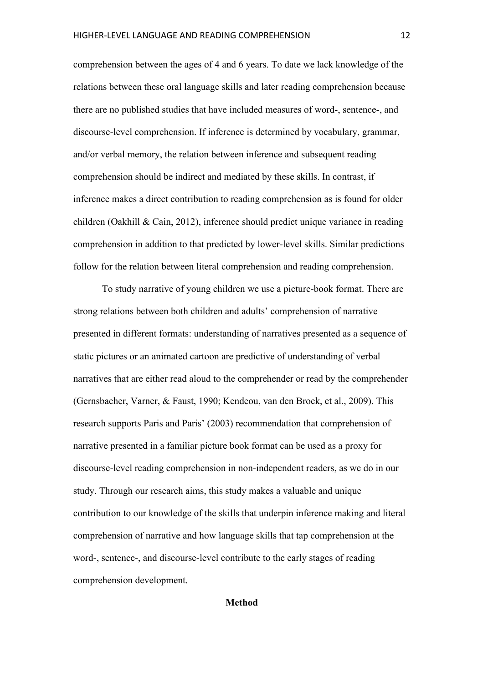comprehension between the ages of 4 and 6 years. To date we lack knowledge of the relations between these oral language skills and later reading comprehension because there are no published studies that have included measures of word-, sentence-, and discourse-level comprehension. If inference is determined by vocabulary, grammar, and/or verbal memory, the relation between inference and subsequent reading comprehension should be indirect and mediated by these skills. In contrast, if inference makes a direct contribution to reading comprehension as is found for older children (Oakhill & Cain, 2012), inference should predict unique variance in reading comprehension in addition to that predicted by lower-level skills. Similar predictions follow for the relation between literal comprehension and reading comprehension.

To study narrative of young children we use a picture-book format. There are strong relations between both children and adults' comprehension of narrative presented in different formats: understanding of narratives presented as a sequence of static pictures or an animated cartoon are predictive of understanding of verbal narratives that are either read aloud to the comprehender or read by the comprehender (Gernsbacher, Varner, & Faust, 1990; Kendeou, van den Broek, et al., 2009). This research supports Paris and Paris' (2003) recommendation that comprehension of narrative presented in a familiar picture book format can be used as a proxy for discourse-level reading comprehension in non-independent readers, as we do in our study. Through our research aims, this study makes a valuable and unique contribution to our knowledge of the skills that underpin inference making and literal comprehension of narrative and how language skills that tap comprehension at the word-, sentence-, and discourse-level contribute to the early stages of reading comprehension development.

## **Method**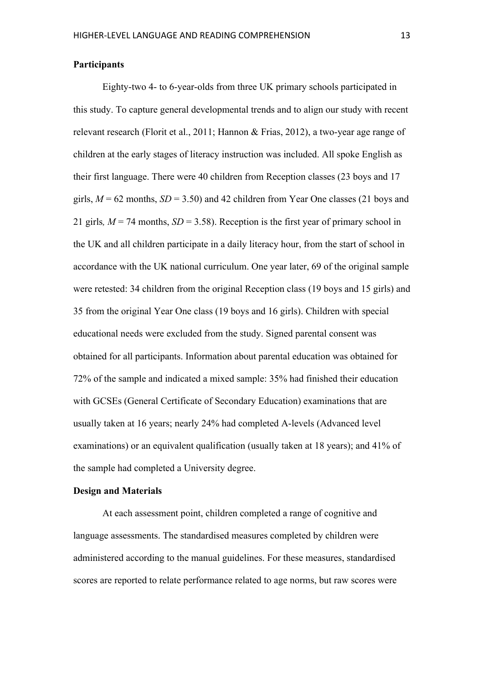Eighty-two 4- to 6-year-olds from three UK primary schools participated in this study. To capture general developmental trends and to align our study with recent relevant research (Florit et al., 2011; Hannon & Frias, 2012), a two-year age range of children at the early stages of literacy instruction was included. All spoke English as their first language. There were 40 children from Reception classes (23 boys and 17 girls,  $M = 62$  months,  $SD = 3.50$ ) and 42 children from Year One classes (21 boys and 21 girls,  $M = 74$  months,  $SD = 3.58$ ). Reception is the first year of primary school in the UK and all children participate in a daily literacy hour, from the start of school in accordance with the UK national curriculum. One year later, 69 of the original sample were retested: 34 children from the original Reception class (19 boys and 15 girls) and 35 from the original Year One class (19 boys and 16 girls). Children with special educational needs were excluded from the study. Signed parental consent was obtained for all participants. Information about parental education was obtained for 72% of the sample and indicated a mixed sample: 35% had finished their education with GCSEs (General Certificate of Secondary Education) examinations that are usually taken at 16 years; nearly 24% had completed A-levels (Advanced level examinations) or an equivalent qualification (usually taken at 18 years); and 41% of the sample had completed a University degree.

#### **Design and Materials**

At each assessment point, children completed a range of cognitive and language assessments. The standardised measures completed by children were administered according to the manual guidelines. For these measures, standardised scores are reported to relate performance related to age norms, but raw scores were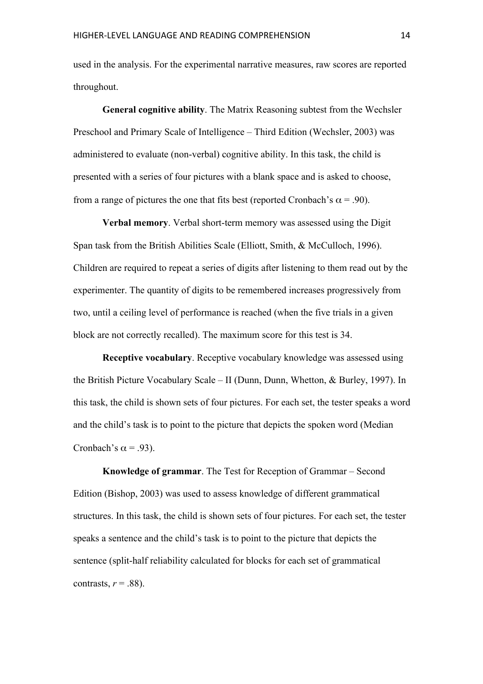used in the analysis. For the experimental narrative measures, raw scores are reported throughout.

**General cognitive ability**. The Matrix Reasoning subtest from the Wechsler Preschool and Primary Scale of Intelligence – Third Edition (Wechsler, 2003) was administered to evaluate (non-verbal) cognitive ability. In this task, the child is presented with a series of four pictures with a blank space and is asked to choose, from a range of pictures the one that fits best (reported Cronbach's  $\alpha$  = .90).

**Verbal memory**. Verbal short-term memory was assessed using the Digit Span task from the British Abilities Scale (Elliott, Smith, & McCulloch, 1996). Children are required to repeat a series of digits after listening to them read out by the experimenter. The quantity of digits to be remembered increases progressively from two, until a ceiling level of performance is reached (when the five trials in a given block are not correctly recalled). The maximum score for this test is 34.

**Receptive vocabulary**. Receptive vocabulary knowledge was assessed using the British Picture Vocabulary Scale – II (Dunn, Dunn, Whetton, & Burley, 1997). In this task, the child is shown sets of four pictures. For each set, the tester speaks a word and the child's task is to point to the picture that depicts the spoken word (Median Cronbach's  $\alpha$  = .93).

**Knowledge of grammar**. The Test for Reception of Grammar – Second Edition (Bishop, 2003) was used to assess knowledge of different grammatical structures. In this task, the child is shown sets of four pictures. For each set, the tester speaks a sentence and the child's task is to point to the picture that depicts the sentence (split-half reliability calculated for blocks for each set of grammatical contrasts,  $r = .88$ ).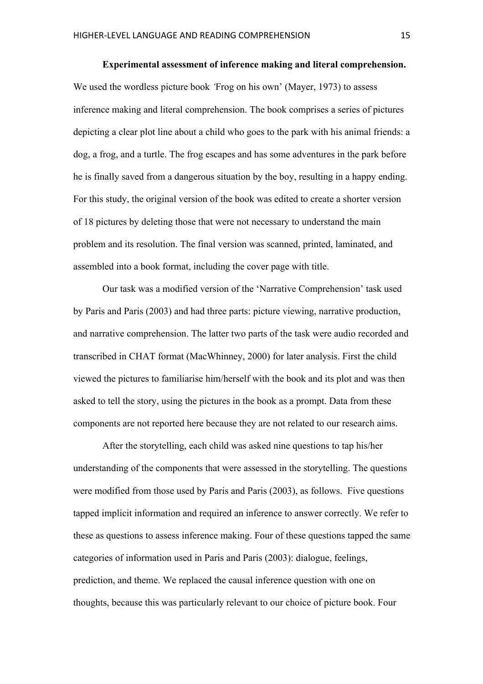### **Experimental assessment of inference making and literal comprehension.**

We used the wordless picture book *'*Frog on his own' (Mayer, 1973) to assess inference making and literal comprehension. The book comprises a series of pictures depicting a clear plot line about a child who goes to the park with his animal friends: a dog, a frog, and a turtle. The frog escapes and has some adventures in the park before he is finally saved from a dangerous situation by the boy, resulting in a happy ending. For this study, the original version of the book was edited to create a shorter version of 18 pictures by deleting those that were not necessary to understand the main problem and its resolution. The final version was scanned, printed, laminated, and assembled into a book format, including the cover page with title.

Our task was a modified version of the 'Narrative Comprehension' task used by Paris and Paris (2003) and had three parts: picture viewing, narrative production, and narrative comprehension. The latter two parts of the task were audio recorded and transcribed in CHAT format (MacWhinney, 2000) for later analysis. First the child viewed the pictures to familiarise him/herself with the book and its plot and was then asked to tell the story, using the pictures in the book as a prompt. Data from these components are not reported here because they are not related to our research aims.

After the storytelling, each child was asked nine questions to tap his/her understanding of the components that were assessed in the storytelling. The questions were modified from those used by Paris and Paris (2003), as follows. Five questions tapped implicit information and required an inference to answer correctly. We refer to these as questions to assess inference making. Four of these questions tapped the same categories of information used in Paris and Paris (2003): dialogue, feelings, prediction, and theme. We replaced the causal inference question with one on thoughts, because this was particularly relevant to our choice of picture book. Four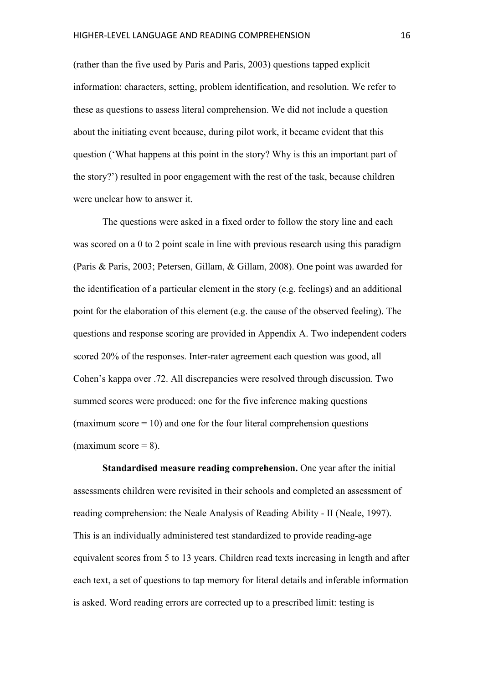(rather than the five used by Paris and Paris, 2003) questions tapped explicit information: characters, setting, problem identification, and resolution. We refer to these as questions to assess literal comprehension. We did not include a question about the initiating event because, during pilot work, it became evident that this question ('What happens at this point in the story? Why is this an important part of the story?') resulted in poor engagement with the rest of the task, because children were unclear how to answer it.

The questions were asked in a fixed order to follow the story line and each was scored on a 0 to 2 point scale in line with previous research using this paradigm (Paris & Paris, 2003; Petersen, Gillam, & Gillam, 2008). One point was awarded for the identification of a particular element in the story (e.g. feelings) and an additional point for the elaboration of this element (e.g. the cause of the observed feeling). The questions and response scoring are provided in Appendix A. Two independent coders scored 20% of the responses. Inter-rater agreement each question was good, all Cohen's kappa over .72. All discrepancies were resolved through discussion. Two summed scores were produced: one for the five inference making questions (maximum score  $= 10$ ) and one for the four literal comprehension questions (maximum score  $= 8$ ).

**Standardised measure reading comprehension.** One year after the initial assessments children were revisited in their schools and completed an assessment of reading comprehension: the Neale Analysis of Reading Ability - II (Neale, 1997). This is an individually administered test standardized to provide reading-age equivalent scores from 5 to 13 years. Children read texts increasing in length and after each text, a set of questions to tap memory for literal details and inferable information is asked. Word reading errors are corrected up to a prescribed limit: testing is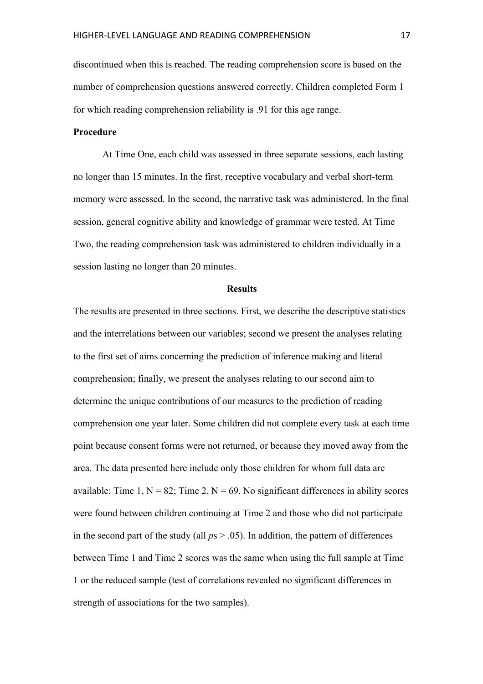discontinued when this is reached. The reading comprehension score is based on the number of comprehension questions answered correctly. Children completed Form 1 for which reading comprehension reliability is .91 for this age range.

## **Procedure**

At Time One, each child was assessed in three separate sessions, each lasting no longer than 15 minutes. In the first, receptive vocabulary and verbal short-term memory were assessed. In the second, the narrative task was administered. In the final session, general cognitive ability and knowledge of grammar were tested. At Time Two, the reading comprehension task was administered to children individually in a session lasting no longer than 20 minutes.

## **Results**

The results are presented in three sections. First, we describe the descriptive statistics and the interrelations between our variables; second we present the analyses relating to the first set of aims concerning the prediction of inference making and literal comprehension; finally, we present the analyses relating to our second aim to determine the unique contributions of our measures to the prediction of reading comprehension one year later. Some children did not complete every task at each time point because consent forms were not returned, or because they moved away from the area. The data presented here include only those children for whom full data are available: Time 1,  $N = 82$ ; Time 2,  $N = 69$ . No significant differences in ability scores were found between children continuing at Time 2 and those who did not participate in the second part of the study (all  $ps > .05$ ). In addition, the pattern of differences between Time 1 and Time 2 scores was the same when using the full sample at Time 1 or the reduced sample (test of correlations revealed no significant differences in strength of associations for the two samples).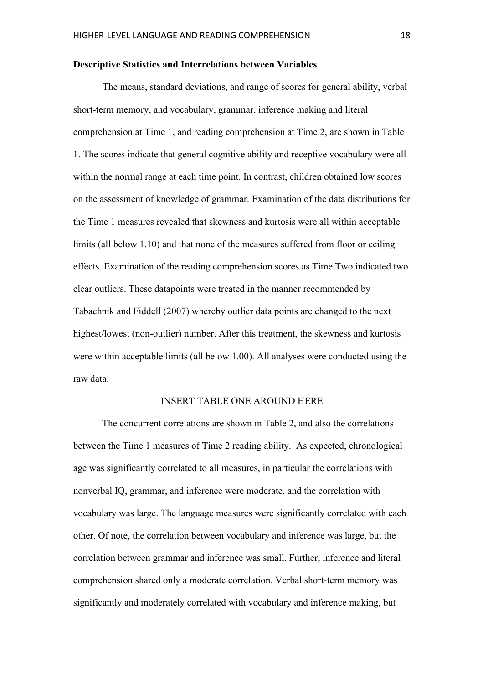## **Descriptive Statistics and Interrelations between Variables**

The means, standard deviations, and range of scores for general ability, verbal short-term memory, and vocabulary, grammar, inference making and literal comprehension at Time 1, and reading comprehension at Time 2, are shown in Table 1. The scores indicate that general cognitive ability and receptive vocabulary were all within the normal range at each time point. In contrast, children obtained low scores on the assessment of knowledge of grammar. Examination of the data distributions for the Time 1 measures revealed that skewness and kurtosis were all within acceptable limits (all below 1.10) and that none of the measures suffered from floor or ceiling effects. Examination of the reading comprehension scores as Time Two indicated two clear outliers. These datapoints were treated in the manner recommended by Tabachnik and Fiddell (2007) whereby outlier data points are changed to the next highest/lowest (non-outlier) number. After this treatment, the skewness and kurtosis were within acceptable limits (all below 1.00). All analyses were conducted using the raw data.

### INSERT TABLE ONE AROUND HERE

The concurrent correlations are shown in Table 2, and also the correlations between the Time 1 measures of Time 2 reading ability. As expected, chronological age was significantly correlated to all measures, in particular the correlations with nonverbal IQ, grammar, and inference were moderate, and the correlation with vocabulary was large. The language measures were significantly correlated with each other. Of note, the correlation between vocabulary and inference was large, but the correlation between grammar and inference was small. Further, inference and literal comprehension shared only a moderate correlation. Verbal short-term memory was significantly and moderately correlated with vocabulary and inference making, but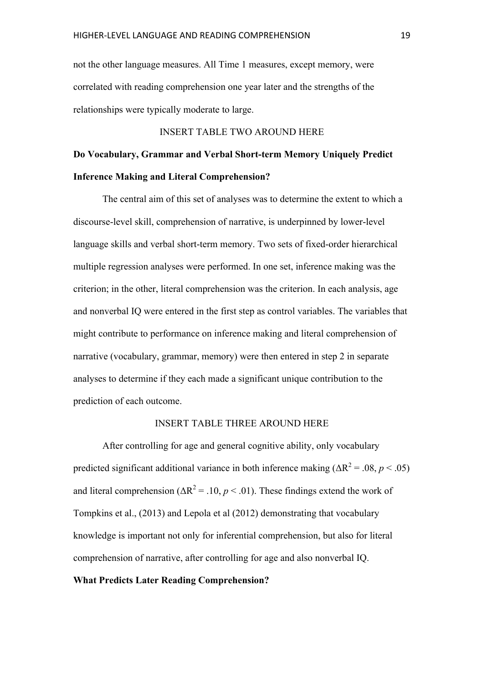not the other language measures. All Time 1 measures, except memory, were correlated with reading comprehension one year later and the strengths of the relationships were typically moderate to large.

## INSERT TABLE TWO AROUND HERE

## **Do Vocabulary, Grammar and Verbal Short-term Memory Uniquely Predict Inference Making and Literal Comprehension?**

The central aim of this set of analyses was to determine the extent to which a discourse-level skill, comprehension of narrative, is underpinned by lower-level language skills and verbal short-term memory. Two sets of fixed-order hierarchical multiple regression analyses were performed. In one set, inference making was the criterion; in the other, literal comprehension was the criterion. In each analysis, age and nonverbal IQ were entered in the first step as control variables. The variables that might contribute to performance on inference making and literal comprehension of narrative (vocabulary, grammar, memory) were then entered in step 2 in separate analyses to determine if they each made a significant unique contribution to the prediction of each outcome.

## INSERT TABLE THREE AROUND HERE

After controlling for age and general cognitive ability, only vocabulary predicted significant additional variance in both inference making  $(\Delta R^2 = .08, p < .05)$ and literal comprehension ( $\Delta R^2$  = .10, *p* < .01). These findings extend the work of Tompkins et al., (2013) and Lepola et al (2012) demonstrating that vocabulary knowledge is important not only for inferential comprehension, but also for literal comprehension of narrative, after controlling for age and also nonverbal IQ.

## **What Predicts Later Reading Comprehension?**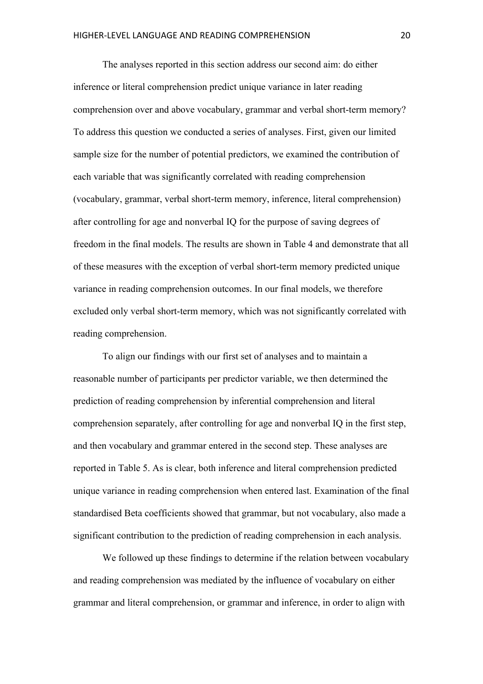The analyses reported in this section address our second aim: do either inference or literal comprehension predict unique variance in later reading comprehension over and above vocabulary, grammar and verbal short-term memory? To address this question we conducted a series of analyses. First, given our limited sample size for the number of potential predictors, we examined the contribution of each variable that was significantly correlated with reading comprehension (vocabulary, grammar, verbal short-term memory, inference, literal comprehension) after controlling for age and nonverbal IQ for the purpose of saving degrees of freedom in the final models. The results are shown in Table 4 and demonstrate that all of these measures with the exception of verbal short-term memory predicted unique variance in reading comprehension outcomes. In our final models, we therefore excluded only verbal short-term memory, which was not significantly correlated with reading comprehension.

To align our findings with our first set of analyses and to maintain a reasonable number of participants per predictor variable, we then determined the prediction of reading comprehension by inferential comprehension and literal comprehension separately, after controlling for age and nonverbal IQ in the first step, and then vocabulary and grammar entered in the second step. These analyses are reported in Table 5. As is clear, both inference and literal comprehension predicted unique variance in reading comprehension when entered last. Examination of the final standardised Beta coefficients showed that grammar, but not vocabulary, also made a significant contribution to the prediction of reading comprehension in each analysis.

We followed up these findings to determine if the relation between vocabulary and reading comprehension was mediated by the influence of vocabulary on either grammar and literal comprehension, or grammar and inference, in order to align with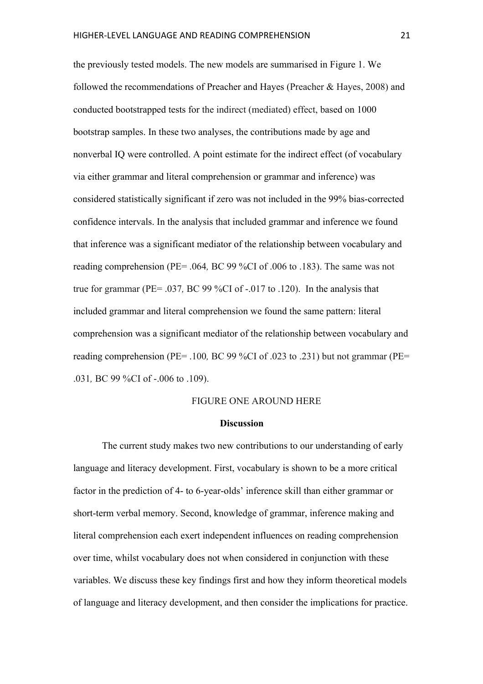the previously tested models. The new models are summarised in Figure 1. We followed the recommendations of Preacher and Hayes (Preacher & Hayes, 2008) and conducted bootstrapped tests for the indirect (mediated) effect, based on 1000 bootstrap samples. In these two analyses, the contributions made by age and nonverbal IQ were controlled. A point estimate for the indirect effect (of vocabulary via either grammar and literal comprehension or grammar and inference) was considered statistically significant if zero was not included in the 99% bias-corrected confidence intervals. In the analysis that included grammar and inference we found that inference was a significant mediator of the relationship between vocabulary and reading comprehension (PE= .064*,* BC 99 %CI of .006 to .183). The same was not true for grammar (PE= .037*,* BC 99 %CI of -.017 to .120). In the analysis that included grammar and literal comprehension we found the same pattern: literal comprehension was a significant mediator of the relationship between vocabulary and reading comprehension (PE= .100*,* BC 99 %CI of .023 to .231) but not grammar (PE= .031*,* BC 99 %CI of -.006 to .109).

## FIGURE ONE AROUND HERE

#### **Discussion**

The current study makes two new contributions to our understanding of early language and literacy development. First, vocabulary is shown to be a more critical factor in the prediction of 4- to 6-year-olds' inference skill than either grammar or short-term verbal memory. Second, knowledge of grammar, inference making and literal comprehension each exert independent influences on reading comprehension over time, whilst vocabulary does not when considered in conjunction with these variables. We discuss these key findings first and how they inform theoretical models of language and literacy development, and then consider the implications for practice.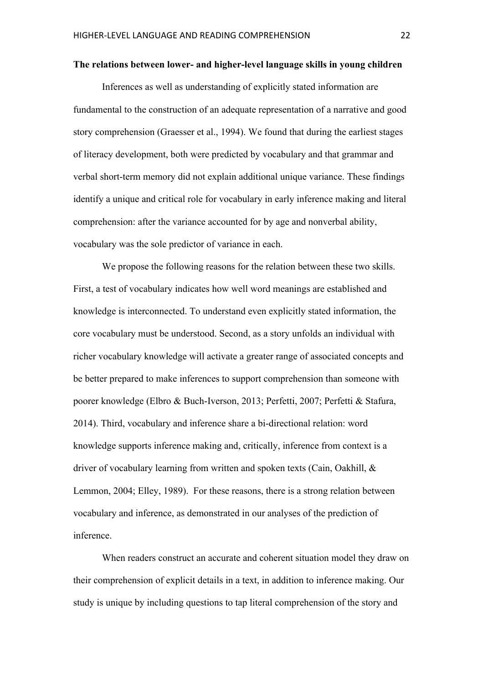#### **The relations between lower- and higher-level language skills in young children**

Inferences as well as understanding of explicitly stated information are fundamental to the construction of an adequate representation of a narrative and good story comprehension (Graesser et al., 1994). We found that during the earliest stages of literacy development, both were predicted by vocabulary and that grammar and verbal short-term memory did not explain additional unique variance. These findings identify a unique and critical role for vocabulary in early inference making and literal comprehension: after the variance accounted for by age and nonverbal ability, vocabulary was the sole predictor of variance in each.

We propose the following reasons for the relation between these two skills. First, a test of vocabulary indicates how well word meanings are established and knowledge is interconnected. To understand even explicitly stated information, the core vocabulary must be understood. Second, as a story unfolds an individual with richer vocabulary knowledge will activate a greater range of associated concepts and be better prepared to make inferences to support comprehension than someone with poorer knowledge (Elbro & Buch-Iverson, 2013; Perfetti, 2007; Perfetti & Stafura, 2014). Third, vocabulary and inference share a bi-directional relation: word knowledge supports inference making and, critically, inference from context is a driver of vocabulary learning from written and spoken texts (Cain, Oakhill, & Lemmon, 2004; Elley, 1989). For these reasons, there is a strong relation between vocabulary and inference, as demonstrated in our analyses of the prediction of inference.

When readers construct an accurate and coherent situation model they draw on their comprehension of explicit details in a text, in addition to inference making. Our study is unique by including questions to tap literal comprehension of the story and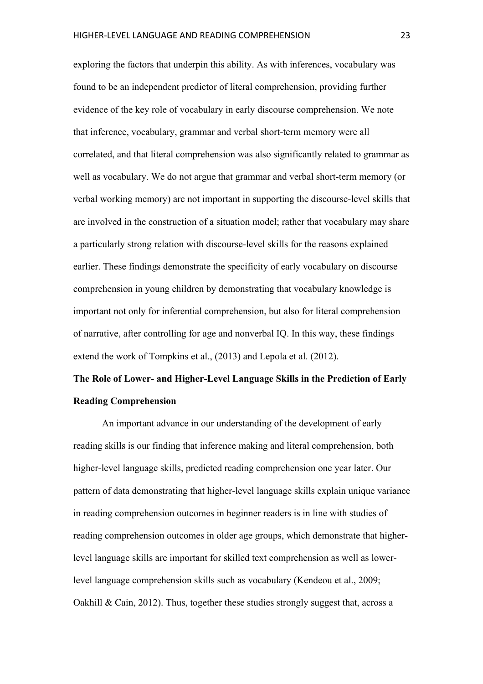exploring the factors that underpin this ability. As with inferences, vocabulary was found to be an independent predictor of literal comprehension, providing further evidence of the key role of vocabulary in early discourse comprehension. We note that inference, vocabulary, grammar and verbal short-term memory were all correlated, and that literal comprehension was also significantly related to grammar as well as vocabulary. We do not argue that grammar and verbal short-term memory (or verbal working memory) are not important in supporting the discourse-level skills that are involved in the construction of a situation model; rather that vocabulary may share a particularly strong relation with discourse-level skills for the reasons explained earlier. These findings demonstrate the specificity of early vocabulary on discourse comprehension in young children by demonstrating that vocabulary knowledge is important not only for inferential comprehension, but also for literal comprehension of narrative, after controlling for age and nonverbal IQ. In this way, these findings extend the work of Tompkins et al., (2013) and Lepola et al. (2012).

# **The Role of Lower- and Higher-Level Language Skills in the Prediction of Early Reading Comprehension**

An important advance in our understanding of the development of early reading skills is our finding that inference making and literal comprehension, both higher-level language skills, predicted reading comprehension one year later. Our pattern of data demonstrating that higher-level language skills explain unique variance in reading comprehension outcomes in beginner readers is in line with studies of reading comprehension outcomes in older age groups, which demonstrate that higherlevel language skills are important for skilled text comprehension as well as lowerlevel language comprehension skills such as vocabulary (Kendeou et al., 2009; Oakhill  $& Cain, 2012$ . Thus, together these studies strongly suggest that, across a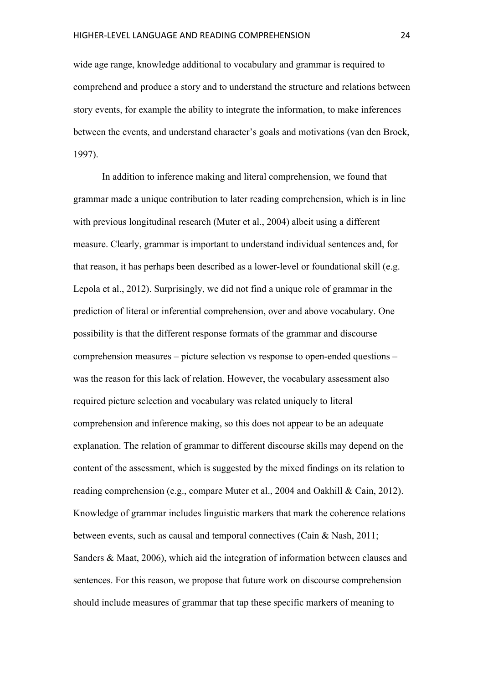wide age range, knowledge additional to vocabulary and grammar is required to comprehend and produce a story and to understand the structure and relations between story events, for example the ability to integrate the information, to make inferences between the events, and understand character's goals and motivations (van den Broek, 1997).

In addition to inference making and literal comprehension, we found that grammar made a unique contribution to later reading comprehension, which is in line with previous longitudinal research (Muter et al., 2004) albeit using a different measure. Clearly, grammar is important to understand individual sentences and, for that reason, it has perhaps been described as a lower-level or foundational skill (e.g. Lepola et al., 2012). Surprisingly, we did not find a unique role of grammar in the prediction of literal or inferential comprehension, over and above vocabulary. One possibility is that the different response formats of the grammar and discourse comprehension measures – picture selection vs response to open-ended questions – was the reason for this lack of relation. However, the vocabulary assessment also required picture selection and vocabulary was related uniquely to literal comprehension and inference making, so this does not appear to be an adequate explanation. The relation of grammar to different discourse skills may depend on the content of the assessment, which is suggested by the mixed findings on its relation to reading comprehension (e.g., compare Muter et al., 2004 and Oakhill & Cain, 2012). Knowledge of grammar includes linguistic markers that mark the coherence relations between events, such as causal and temporal connectives (Cain & Nash, 2011; Sanders & Maat, 2006), which aid the integration of information between clauses and sentences. For this reason, we propose that future work on discourse comprehension should include measures of grammar that tap these specific markers of meaning to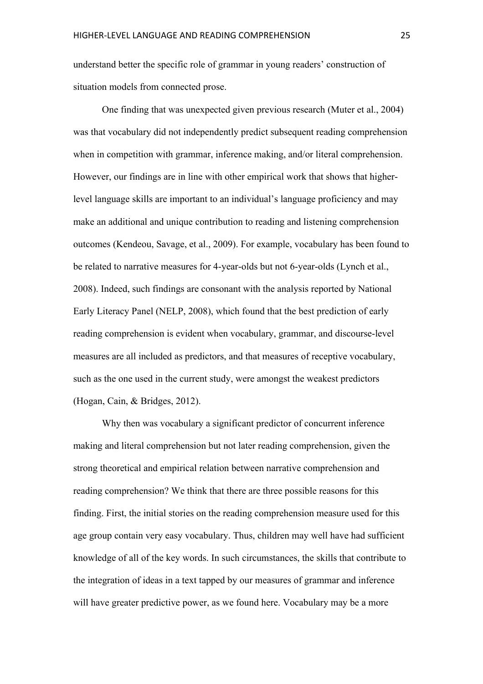understand better the specific role of grammar in young readers' construction of situation models from connected prose.

One finding that was unexpected given previous research (Muter et al., 2004) was that vocabulary did not independently predict subsequent reading comprehension when in competition with grammar, inference making, and/or literal comprehension. However, our findings are in line with other empirical work that shows that higherlevel language skills are important to an individual's language proficiency and may make an additional and unique contribution to reading and listening comprehension outcomes (Kendeou, Savage, et al., 2009). For example, vocabulary has been found to be related to narrative measures for 4-year-olds but not 6-year-olds (Lynch et al., 2008). Indeed, such findings are consonant with the analysis reported by National Early Literacy Panel (NELP, 2008), which found that the best prediction of early reading comprehension is evident when vocabulary, grammar, and discourse-level measures are all included as predictors, and that measures of receptive vocabulary, such as the one used in the current study, were amongst the weakest predictors (Hogan, Cain, & Bridges, 2012).

Why then was vocabulary a significant predictor of concurrent inference making and literal comprehension but not later reading comprehension, given the strong theoretical and empirical relation between narrative comprehension and reading comprehension? We think that there are three possible reasons for this finding. First, the initial stories on the reading comprehension measure used for this age group contain very easy vocabulary. Thus, children may well have had sufficient knowledge of all of the key words. In such circumstances, the skills that contribute to the integration of ideas in a text tapped by our measures of grammar and inference will have greater predictive power, as we found here. Vocabulary may be a more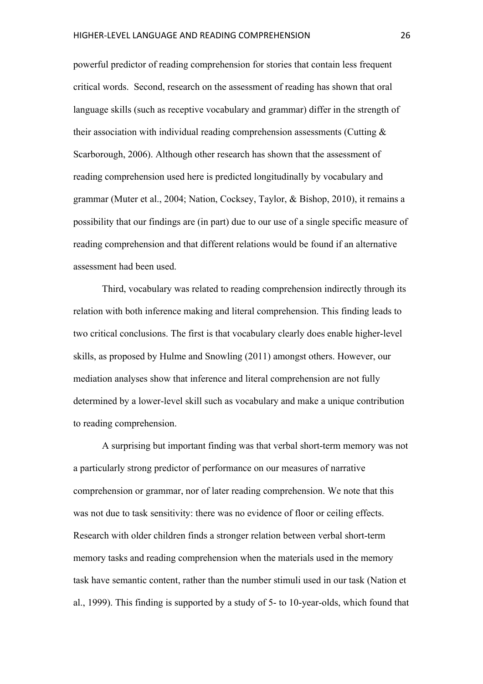powerful predictor of reading comprehension for stories that contain less frequent critical words. Second, research on the assessment of reading has shown that oral language skills (such as receptive vocabulary and grammar) differ in the strength of their association with individual reading comprehension assessments (Cutting  $\&$ Scarborough, 2006). Although other research has shown that the assessment of reading comprehension used here is predicted longitudinally by vocabulary and grammar (Muter et al., 2004; Nation, Cocksey, Taylor, & Bishop, 2010), it remains a possibility that our findings are (in part) due to our use of a single specific measure of reading comprehension and that different relations would be found if an alternative assessment had been used.

Third, vocabulary was related to reading comprehension indirectly through its relation with both inference making and literal comprehension. This finding leads to two critical conclusions. The first is that vocabulary clearly does enable higher-level skills, as proposed by Hulme and Snowling (2011) amongst others. However, our mediation analyses show that inference and literal comprehension are not fully determined by a lower-level skill such as vocabulary and make a unique contribution to reading comprehension.

A surprising but important finding was that verbal short-term memory was not a particularly strong predictor of performance on our measures of narrative comprehension or grammar, nor of later reading comprehension. We note that this was not due to task sensitivity: there was no evidence of floor or ceiling effects. Research with older children finds a stronger relation between verbal short-term memory tasks and reading comprehension when the materials used in the memory task have semantic content, rather than the number stimuli used in our task (Nation et al., 1999). This finding is supported by a study of 5- to 10-year-olds, which found that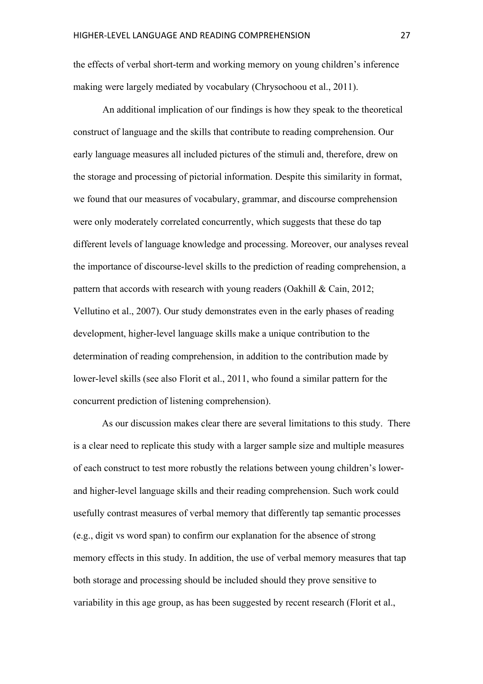the effects of verbal short-term and working memory on young children's inference making were largely mediated by vocabulary (Chrysochoou et al., 2011).

An additional implication of our findings is how they speak to the theoretical construct of language and the skills that contribute to reading comprehension. Our early language measures all included pictures of the stimuli and, therefore, drew on the storage and processing of pictorial information. Despite this similarity in format, we found that our measures of vocabulary, grammar, and discourse comprehension were only moderately correlated concurrently, which suggests that these do tap different levels of language knowledge and processing. Moreover, our analyses reveal the importance of discourse-level skills to the prediction of reading comprehension, a pattern that accords with research with young readers (Oakhill & Cain, 2012; Vellutino et al., 2007). Our study demonstrates even in the early phases of reading development, higher-level language skills make a unique contribution to the determination of reading comprehension, in addition to the contribution made by lower-level skills (see also Florit et al., 2011, who found a similar pattern for the concurrent prediction of listening comprehension).

As our discussion makes clear there are several limitations to this study. There is a clear need to replicate this study with a larger sample size and multiple measures of each construct to test more robustly the relations between young children's lowerand higher-level language skills and their reading comprehension. Such work could usefully contrast measures of verbal memory that differently tap semantic processes (e.g., digit vs word span) to confirm our explanation for the absence of strong memory effects in this study. In addition, the use of verbal memory measures that tap both storage and processing should be included should they prove sensitive to variability in this age group, as has been suggested by recent research (Florit et al.,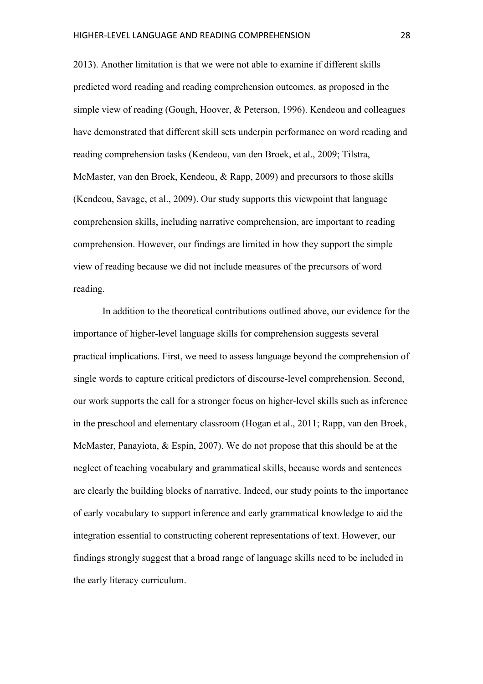2013). Another limitation is that we were not able to examine if different skills predicted word reading and reading comprehension outcomes, as proposed in the simple view of reading (Gough, Hoover, & Peterson, 1996). Kendeou and colleagues have demonstrated that different skill sets underpin performance on word reading and reading comprehension tasks (Kendeou, van den Broek, et al., 2009; Tilstra, McMaster, van den Broek, Kendeou, & Rapp, 2009) and precursors to those skills (Kendeou, Savage, et al., 2009). Our study supports this viewpoint that language comprehension skills, including narrative comprehension, are important to reading comprehension. However, our findings are limited in how they support the simple view of reading because we did not include measures of the precursors of word reading.

In addition to the theoretical contributions outlined above, our evidence for the importance of higher-level language skills for comprehension suggests several practical implications. First, we need to assess language beyond the comprehension of single words to capture critical predictors of discourse-level comprehension. Second, our work supports the call for a stronger focus on higher-level skills such as inference in the preschool and elementary classroom (Hogan et al., 2011; Rapp, van den Broek, McMaster, Panayiota, & Espin, 2007). We do not propose that this should be at the neglect of teaching vocabulary and grammatical skills, because words and sentences are clearly the building blocks of narrative. Indeed, our study points to the importance of early vocabulary to support inference and early grammatical knowledge to aid the integration essential to constructing coherent representations of text. However, our findings strongly suggest that a broad range of language skills need to be included in the early literacy curriculum.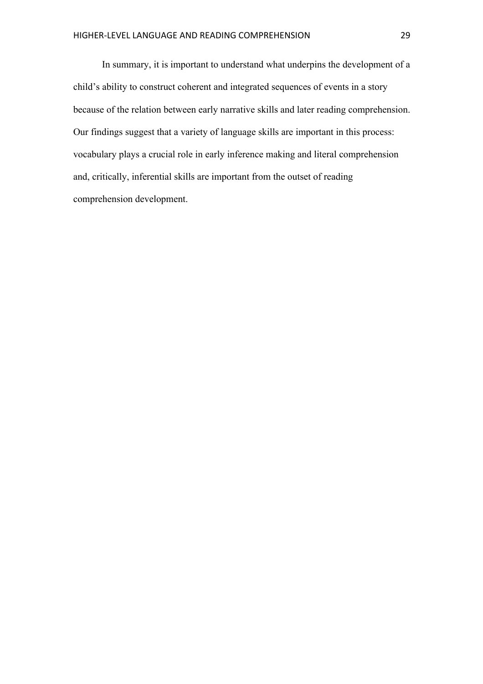In summary, it is important to understand what underpins the development of a child's ability to construct coherent and integrated sequences of events in a story because of the relation between early narrative skills and later reading comprehension. Our findings suggest that a variety of language skills are important in this process: vocabulary plays a crucial role in early inference making and literal comprehension and, critically, inferential skills are important from the outset of reading comprehension development.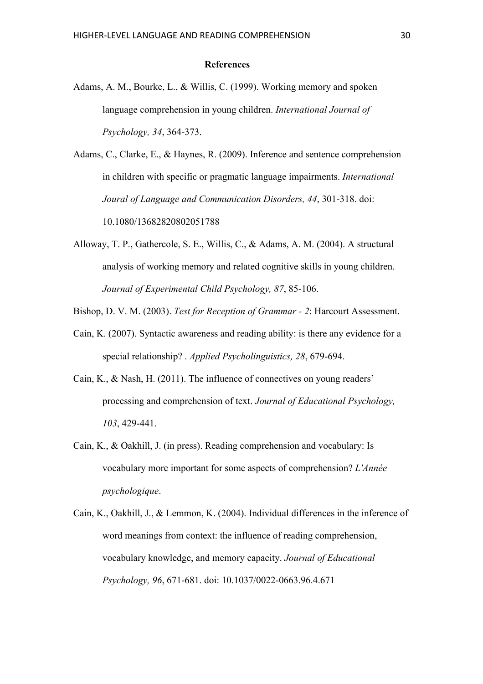#### **References**

Adams, A. M., Bourke, L., & Willis, C. (1999). Working memory and spoken language comprehension in young children. *International Journal of Psychology, 34*, 364-373.

Adams, C., Clarke, E., & Haynes, R. (2009). Inference and sentence comprehension in children with specific or pragmatic language impairments. *International Joural of Language and Communication Disorders, 44*, 301-318. doi: 10.1080/13682820802051788

Alloway, T. P., Gathercole, S. E., Willis, C., & Adams, A. M. (2004). A structural analysis of working memory and related cognitive skills in young children. *Journal of Experimental Child Psychology, 87*, 85-106.

Bishop, D. V. M. (2003). *Test for Reception of Grammar - 2*: Harcourt Assessment.

- Cain, K. (2007). Syntactic awareness and reading ability: is there any evidence for a special relationship? . *Applied Psycholinguistics, 28*, 679-694.
- Cain, K., & Nash, H. (2011). The influence of connectives on young readers' processing and comprehension of text. *Journal of Educational Psychology, 103*, 429-441.
- Cain, K., & Oakhill, J. (in press). Reading comprehension and vocabulary: Is vocabulary more important for some aspects of comprehension? *L'Année psychologique*.
- Cain, K., Oakhill, J., & Lemmon, K. (2004). Individual differences in the inference of word meanings from context: the influence of reading comprehension, vocabulary knowledge, and memory capacity. *Journal of Educational Psychology, 96*, 671-681. doi: 10.1037/0022-0663.96.4.671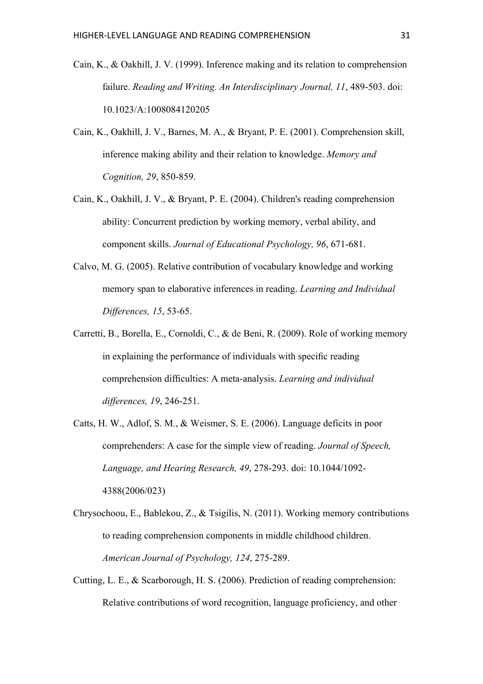- Cain, K., & Oakhill, J. V. (1999). Inference making and its relation to comprehension failure. *Reading and Writing. An Interdisciplinary Journal, 11*, 489-503. doi: 10.1023/A:1008084120205
- Cain, K., Oakhill, J. V., Barnes, M. A., & Bryant, P. E. (2001). Comprehension skill, inference making ability and their relation to knowledge. *Memory and Cognition, 29*, 850-859.
- Cain, K., Oakhill, J. V., & Bryant, P. E. (2004). Children's reading comprehension ability: Concurrent prediction by working memory, verbal ability, and component skills. *Journal of Educational Psychology, 96*, 671-681.
- Calvo, M. G. (2005). Relative contribution of vocabulary knowledge and working memory span to elaborative inferences in reading. *Learning and Individual Differences, 15*, 53-65.
- Carretti, B., Borella, E., Cornoldi, C., & de Beni, R. (2009). Role of working memory in explaining the performance of individuals with specific reading comprehension difficulties: A meta-analysis. *Learning and individual differences, 19*, 246-251.
- Catts, H. W., Adlof, S. M., & Weismer, S. E. (2006). Language deficits in poor comprehenders: A case for the simple view of reading. *Journal of Speech, Language, and Hearing Research, 49*, 278-293. doi: 10.1044/1092- 4388(2006/023)
- Chrysochoou, E., Bablekou, Z., & Tsigilis, N. (2011). Working memory contributions to reading comprehension components in middle childhood children. *American Journal of Psychology, 124*, 275-289.
- Cutting, L. E., & Scarborough, H. S. (2006). Prediction of reading comprehension: Relative contributions of word recognition, language proficiency, and other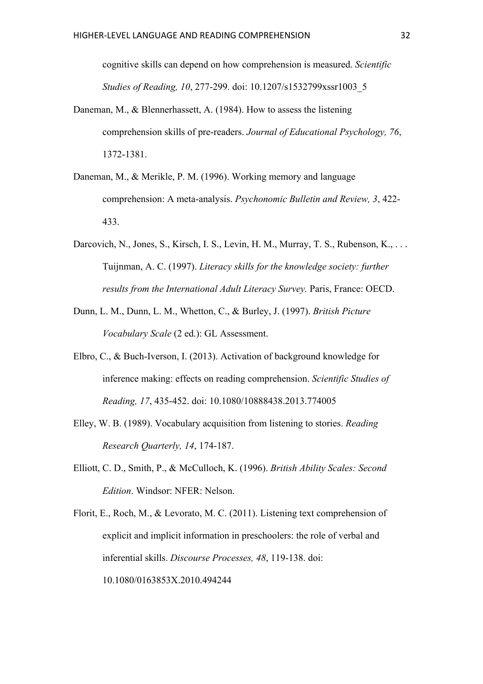cognitive skills can depend on how comprehension is measured. *Scientific Studies of Reading, 10*, 277-299. doi: 10.1207/s1532799xssr1003\_5

- Daneman, M., & Blennerhassett, A. (1984). How to assess the listening comprehension skills of pre-readers. *Journal of Educational Psychology, 76*, 1372-1381.
- Daneman, M., & Merikle, P. M. (1996). Working memory and language comprehension: A meta-analysis. *Psychonomic Bulletin and Review, 3*, 422- 433.
- Darcovich, N., Jones, S., Kirsch, I. S., Levin, H. M., Murray, T. S., Rubenson, K., ... Tuijnman, A. C. (1997). *Literacy skills for the knowledge society: further results from the International Adult Literacy Survey.* Paris, France: OECD.
- Dunn, L. M., Dunn, L. M., Whetton, C., & Burley, J. (1997). *British Picture Vocabulary Scale* (2 ed.): GL Assessment.
- Elbro, C., & Buch-Iverson, I. (2013). Activation of background knowledge for inference making: effects on reading comprehension. *Scientific Studies of Reading, 17*, 435-452. doi: 10.1080/10888438.2013.774005
- Elley, W. B. (1989). Vocabulary acquisition from listening to stories. *Reading Research Quarterly, 14*, 174-187.
- Elliott, C. D., Smith, P., & McCulloch, K. (1996). *British Ability Scales: Second Edition*. Windsor: NFER: Nelson.
- Florit, E., Roch, M., & Levorato, M. C. (2011). Listening text comprehension of explicit and implicit information in preschoolers: the role of verbal and inferential skills. *Discourse Processes, 48*, 119-138. doi: 10.1080/0163853X.2010.494244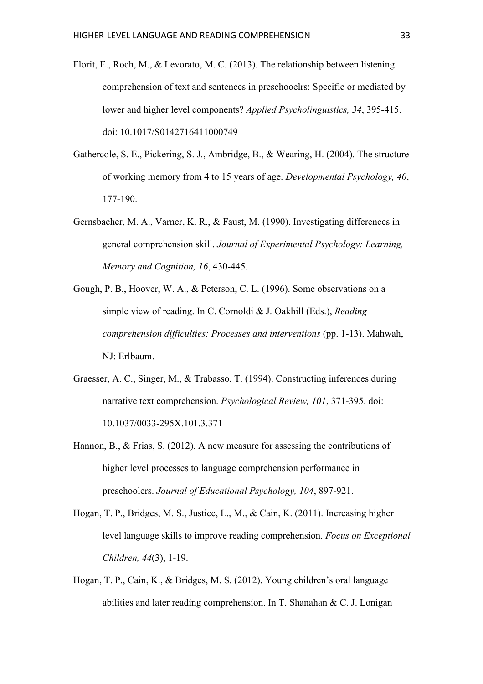- Florit, E., Roch, M., & Levorato, M. C. (2013). The relationship between listening comprehension of text and sentences in preschooelrs: Specific or mediated by lower and higher level components? *Applied Psycholinguistics, 34*, 395-415. doi: 10.1017/S0142716411000749
- Gathercole, S. E., Pickering, S. J., Ambridge, B., & Wearing, H. (2004). The structure of working memory from 4 to 15 years of age. *Developmental Psychology, 40*, 177-190.
- Gernsbacher, M. A., Varner, K. R., & Faust, M. (1990). Investigating differences in general comprehension skill. *Journal of Experimental Psychology: Learning, Memory and Cognition, 16*, 430-445.
- Gough, P. B., Hoover, W. A., & Peterson, C. L. (1996). Some observations on a simple view of reading. In C. Cornoldi & J. Oakhill (Eds.), *Reading comprehension difficulties: Processes and interventions* (pp. 1-13). Mahwah, NJ: Erlbaum.
- Graesser, A. C., Singer, M., & Trabasso, T. (1994). Constructing inferences during narrative text comprehension. *Psychological Review, 101*, 371-395. doi: 10.1037/0033-295X.101.3.371
- Hannon, B., & Frias, S. (2012). A new measure for assessing the contributions of higher level processes to language comprehension performance in preschoolers. *Journal of Educational Psychology, 104*, 897-921.
- Hogan, T. P., Bridges, M. S., Justice, L., M., & Cain, K. (2011). Increasing higher level language skills to improve reading comprehension. *Focus on Exceptional Children, 44*(3), 1-19.
- Hogan, T. P., Cain, K., & Bridges, M. S. (2012). Young children's oral language abilities and later reading comprehension. In T. Shanahan & C. J. Lonigan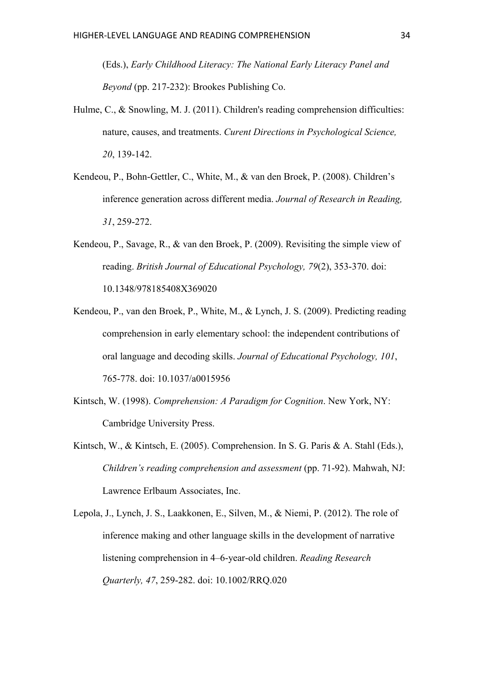(Eds.), *Early Childhood Literacy: The National Early Literacy Panel and Beyond* (pp. 217-232): Brookes Publishing Co.

- Hulme, C., & Snowling, M. J. (2011). Children's reading comprehension difficulties: nature, causes, and treatments. *Curent Directions in Psychological Science, 20*, 139-142.
- Kendeou, P., Bohn-Gettler, C., White, M., & van den Broek, P. (2008). Children's inference generation across different media. *Journal of Research in Reading, 31*, 259-272.
- Kendeou, P., Savage, R., & van den Broek, P. (2009). Revisiting the simple view of reading. *British Journal of Educational Psychology, 79*(2), 353-370. doi: 10.1348/978185408X369020
- Kendeou, P., van den Broek, P., White, M., & Lynch, J. S. (2009). Predicting reading comprehension in early elementary school: the independent contributions of oral language and decoding skills. *Journal of Educational Psychology, 101*, 765-778. doi: 10.1037/a0015956
- Kintsch, W. (1998). *Comprehension: A Paradigm for Cognition*. New York, NY: Cambridge University Press.
- Kintsch, W., & Kintsch, E. (2005). Comprehension. In S. G. Paris & A. Stahl (Eds.), *Children's reading comprehension and assessment* (pp. 71-92). Mahwah, NJ: Lawrence Erlbaum Associates, Inc.
- Lepola, J., Lynch, J. S., Laakkonen, E., Silven, M., & Niemi, P. (2012). The role of inference making and other language skills in the development of narrative listening comprehension in 4–6-year-old children. *Reading Research Quarterly, 47*, 259-282. doi: 10.1002/RRQ.020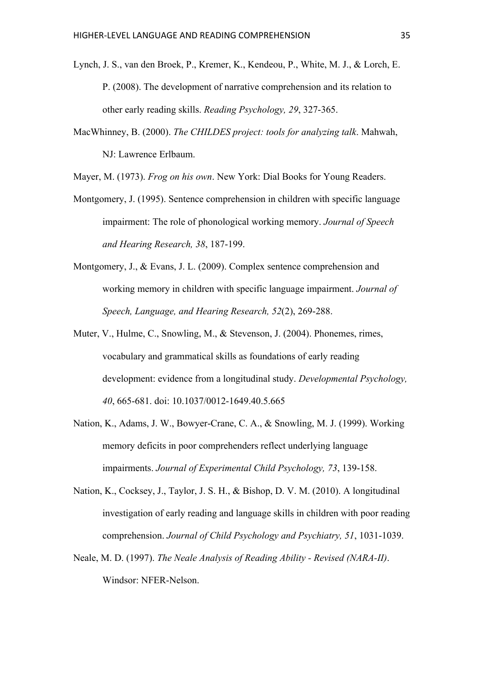- Lynch, J. S., van den Broek, P., Kremer, K., Kendeou, P., White, M. J., & Lorch, E. P. (2008). The development of narrative comprehension and its relation to other early reading skills. *Reading Psychology, 29*, 327-365.
- MacWhinney, B. (2000). *The CHILDES project: tools for analyzing talk*. Mahwah, NJ: Lawrence Erlbaum.
- Mayer, M. (1973). *Frog on his own*. New York: Dial Books for Young Readers.
- Montgomery, J. (1995). Sentence comprehension in children with specific language impairment: The role of phonological working memory. *Journal of Speech and Hearing Research, 38*, 187-199.
- Montgomery, J., & Evans, J. L. (2009). Complex sentence comprehension and working memory in children with specific language impairment. *Journal of Speech, Language, and Hearing Research, 52*(2), 269-288.
- Muter, V., Hulme, C., Snowling, M., & Stevenson, J. (2004). Phonemes, rimes, vocabulary and grammatical skills as foundations of early reading development: evidence from a longitudinal study. *Developmental Psychology, 40*, 665-681. doi: 10.1037/0012-1649.40.5.665
- Nation, K., Adams, J. W., Bowyer-Crane, C. A., & Snowling, M. J. (1999). Working memory deficits in poor comprehenders reflect underlying language impairments. *Journal of Experimental Child Psychology, 73*, 139-158.
- Nation, K., Cocksey, J., Taylor, J. S. H., & Bishop, D. V. M. (2010). A longitudinal investigation of early reading and language skills in children with poor reading comprehension. *Journal of Child Psychology and Psychiatry, 51*, 1031-1039.
- Neale, M. D. (1997). *The Neale Analysis of Reading Ability - Revised (NARA-II)*. Windsor: NFER-Nelson.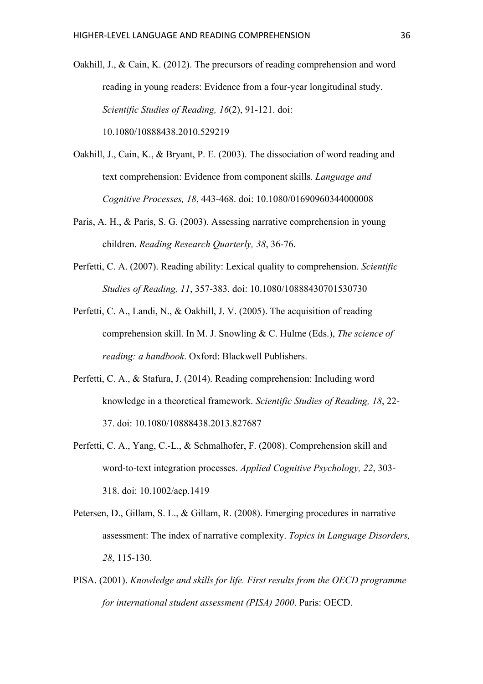Oakhill, J., & Cain, K. (2012). The precursors of reading comprehension and word reading in young readers: Evidence from a four-year longitudinal study. *Scientific Studies of Reading, 16*(2), 91-121. doi: 10.1080/10888438.2010.529219

- Oakhill, J., Cain, K., & Bryant, P. E. (2003). The dissociation of word reading and text comprehension: Evidence from component skills. *Language and Cognitive Processes, 18*, 443-468. doi: 10.1080/01690960344000008
- Paris, A. H., & Paris, S. G. (2003). Assessing narrative comprehension in young children. *Reading Research Quarterly, 38*, 36-76.
- Perfetti, C. A. (2007). Reading ability: Lexical quality to comprehension. *Scientific Studies of Reading, 11*, 357-383. doi: 10.1080/10888430701530730
- Perfetti, C. A., Landi, N., & Oakhill, J. V. (2005). The acquisition of reading comprehension skill. In M. J. Snowling & C. Hulme (Eds.), *The science of reading: a handbook*. Oxford: Blackwell Publishers.
- Perfetti, C. A., & Stafura, J. (2014). Reading comprehension: Including word knowledge in a theoretical framework. *Scientific Studies of Reading, 18*, 22- 37. doi: 10.1080/10888438.2013.827687
- Perfetti, C. A., Yang, C.-L., & Schmalhofer, F. (2008). Comprehension skill and word-to-text integration processes. *Applied Cognitive Psychology, 22*, 303- 318. doi: 10.1002/acp.1419
- Petersen, D., Gillam, S. L., & Gillam, R. (2008). Emerging procedures in narrative assessment: The index of narrative complexity. *Topics in Language Disorders, 28*, 115-130.
- PISA. (2001). *Knowledge and skills for life. First results from the OECD programme for international student assessment (PISA) 2000*. Paris: OECD.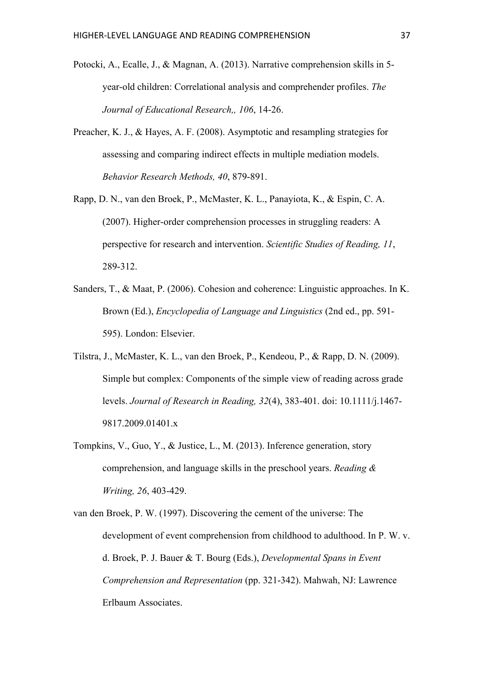- Potocki, A., Ecalle, J., & Magnan, A. (2013). Narrative comprehension skills in 5 year-old children: Correlational analysis and comprehender profiles. *The Journal of Educational Research,, 106*, 14-26.
- Preacher, K. J., & Hayes, A. F. (2008). Asymptotic and resampling strategies for assessing and comparing indirect effects in multiple mediation models. *Behavior Research Methods, 40*, 879-891.
- Rapp, D. N., van den Broek, P., McMaster, K. L., Panayiota, K., & Espin, C. A. (2007). Higher-order comprehension processes in struggling readers: A perspective for research and intervention. *Scientific Studies of Reading, 11*, 289-312.
- Sanders, T., & Maat, P. (2006). Cohesion and coherence: Linguistic approaches. In K. Brown (Ed.), *Encyclopedia of Language and Linguistics* (2nd ed., pp. 591- 595). London: Elsevier.
- Tilstra, J., McMaster, K. L., van den Broek, P., Kendeou, P., & Rapp, D. N. (2009). Simple but complex: Components of the simple view of reading across grade levels. *Journal of Research in Reading, 32*(4), 383-401. doi: 10.1111/j.1467- 9817.2009.01401.x
- Tompkins, V., Guo, Y., & Justice, L., M. (2013). Inference generation, story comprehension, and language skills in the preschool years. *Reading & Writing, 26*, 403-429.
- van den Broek, P. W. (1997). Discovering the cement of the universe: The development of event comprehension from childhood to adulthood. In P. W. v. d. Broek, P. J. Bauer & T. Bourg (Eds.), *Developmental Spans in Event Comprehension and Representation* (pp. 321-342). Mahwah, NJ: Lawrence Erlbaum Associates.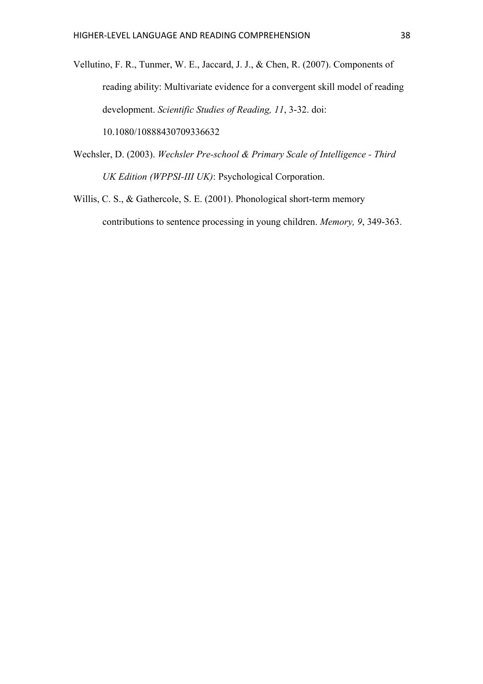Vellutino, F. R., Tunmer, W. E., Jaccard, J. J., & Chen, R. (2007). Components of reading ability: Multivariate evidence for a convergent skill model of reading development. *Scientific Studies of Reading, 11*, 3-32. doi: 10.1080/10888430709336632

- Wechsler, D. (2003). *Wechsler Pre-school & Primary Scale of Intelligence - Third UK Edition (WPPSI-III UK)*: Psychological Corporation.
- Willis, C. S., & Gathercole, S. E. (2001). Phonological short-term memory contributions to sentence processing in young children. *Memory, 9*, 349-363.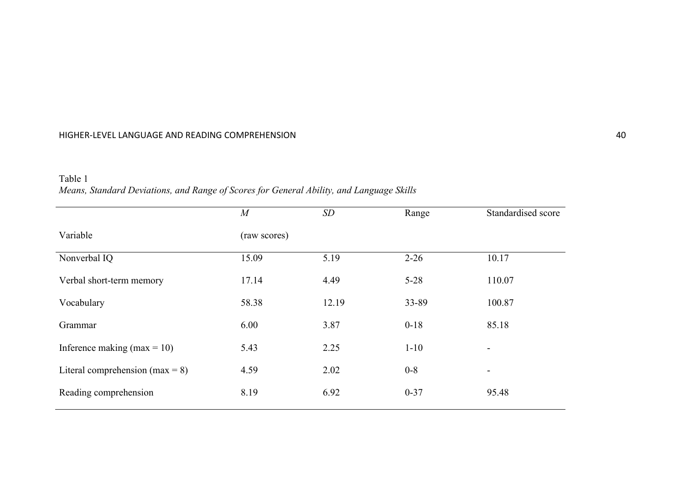## HIGHER-LEVEL LANGUAGE AND READING COMPREHENSION 40

| Table 1                                                                                  |
|------------------------------------------------------------------------------------------|
| Means, Standard Deviations, and Range of Scores for General Ability, and Language Skills |

|                                    | $\overline{M}$ | SD    | Range    | Standardised score       |  |  |  |  |
|------------------------------------|----------------|-------|----------|--------------------------|--|--|--|--|
| Variable                           | (raw scores)   |       |          |                          |  |  |  |  |
| Nonverbal IQ                       | 15.09          | 5.19  | $2 - 26$ | 10.17                    |  |  |  |  |
| Verbal short-term memory           | 17.14          | 4.49  | $5 - 28$ | 110.07                   |  |  |  |  |
| Vocabulary                         | 58.38          | 12.19 | 33-89    | 100.87                   |  |  |  |  |
| Grammar                            | 6.00           | 3.87  | $0 - 18$ | 85.18                    |  |  |  |  |
| Inference making (max = 10)        | 5.43           | 2.25  | $1 - 10$ | $\overline{\phantom{a}}$ |  |  |  |  |
| Literal comprehension (max = $8$ ) | 4.59           | 2.02  | $0 - 8$  | -                        |  |  |  |  |
| Reading comprehension              | 8.19           | 6.92  | $0 - 37$ | 95.48                    |  |  |  |  |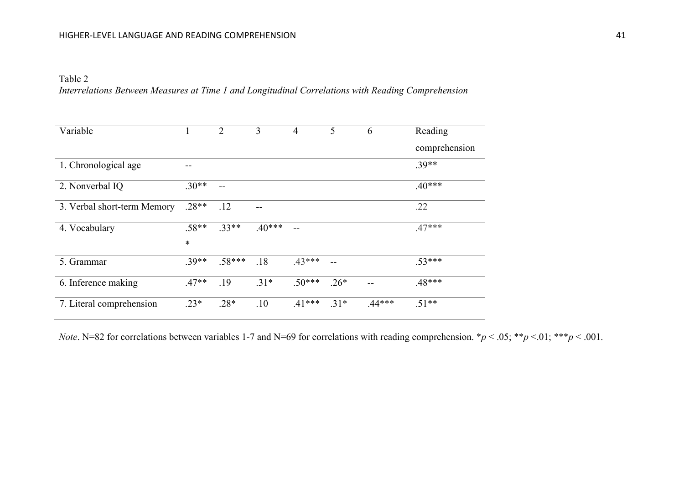Table 2

*Interrelations Between Measures at Time 1 and Longitudinal Correlations with Reading Comprehension*

| Variable                    |         | $\overline{2}$ | 3        | $\overline{4}$ | 5      | 6        | Reading       |
|-----------------------------|---------|----------------|----------|----------------|--------|----------|---------------|
|                             |         |                |          |                |        |          | comprehension |
| 1. Chronological age        |         |                |          |                |        |          | $.39**$       |
| 2. Nonverbal IQ             | $.30**$ |                |          |                |        |          | $.40***$      |
| 3. Verbal short-term Memory | $.28**$ | .12            | --       |                |        |          | .22           |
| 4. Vocabulary               | $.58**$ | $.33**$        | $.40***$ |                |        |          | $.47***$      |
|                             | $\ast$  |                |          |                |        |          |               |
| 5. Grammar                  | $.39**$ | $.58***$       | .18      | $.43***$       | $-$    |          | $.53***$      |
| 6. Inference making         | $.47**$ | .19            | $.31*$   | $.50***$       | $.26*$ | --       | $.48***$      |
| 7. Literal comprehension    | $.23*$  | $.28*$         | .10      | $.41***$       | $.31*$ | $.44***$ | $.51**$       |

*Note*. N=82 for correlations between variables 1-7 and N=69 for correlations with reading comprehension. \**p* < .05; \*\**p* <.01; \*\*\**p* < .001.